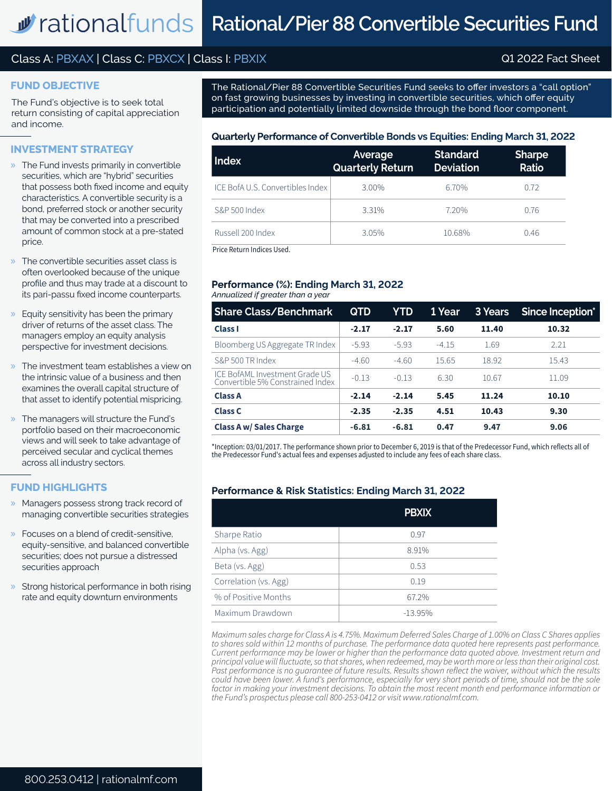# Class A: PBXAX | Class C: PBXCX | Class I: PBXIX Q1 2022 Fact Sheet

#### **FUND OBJECTIVE**

The Fund's objective is to seek total return consisting of capital appreciation and income.

# **INVESTMENT STRATEGY**

- » The Fund invests primarily in convertible securities, which are "hybrid" securities that possess both fixed income and equity characteristics. A convertible security is a bond, preferred stock or another security that may be converted into a prescribed amount of common stock at a pre-stated price.
- » The convertible securities asset class is often overlooked because of the unique profile and thus may trade at a discount to its pari-passu fixed income counterparts.
- » Equity sensitivity has been the primary driver of returns of the asset class. The managers employ an equity analysis perspective for investment decisions.
- » The investment team establishes a view on the intrinsic value of a business and then examines the overall capital structure of that asset to identify potential mispricing.
- » The managers will structure the Fund's portfolio based on their macroeconomic views and will seek to take advantage of perceived secular and cyclical themes across all industry sectors.

# **FUND HIGHLIGHTS**

- » Managers possess strong track record of managing convertible securities strategies
- » Focuses on a blend of credit-sensitive, equity-sensitive, and balanced convertible securities; does not pursue a distressed securities approach
- » Strong historical performance in both rising rate and equity downturn environments

The Rational/Pier 88 Convertible Securities Fund seeks to offer investors a "call option" on fast growing businesses by investing in convertible securities, which offer equity participation and potentially limited downside through the bond floor component.

#### **Quarterly Performance of Convertible Bonds vs Equities: Ending March 31, 2022**

| Index                            | Average<br><b>Quarterly Return</b> | <b>Standard</b><br><b>Deviation</b> | <b>Sharpe</b><br>Ratio |
|----------------------------------|------------------------------------|-------------------------------------|------------------------|
| ICE BofA U.S. Convertibles Index | 3.00%                              | 6.70%                               | 0.72                   |
| S&P 500 Index                    | 3.31%                              | 7.20%                               | 0.76                   |
| Russell 200 Index                | 3.05%                              | 10.68%                              | 0.46                   |

Price Return Indices Used.

#### *Annualized if greater than a year* **Performance (%): Ending March 31, 2022**

| <b>Share Class/Benchmark</b>                                       | <b>QTD</b> | YTD     | 1 Year  | 3 Years | Since Inception* |
|--------------------------------------------------------------------|------------|---------|---------|---------|------------------|
| <b>Class I</b>                                                     | $-2.17$    | $-2.17$ | 5.60    | 11.40   | 10.32            |
| Bloomberg US Aggregate TR Index                                    | $-5.93$    | $-5.93$ | $-4.15$ | 1.69    | 2.21             |
| S&P 500 TR Index                                                   | $-4.60$    | $-4.60$ | 15.65   | 18.92   | 15.43            |
| ICE BofAML Investment Grade US<br>Convertible 5% Constrained Index | $-0.13$    | $-0.13$ | 6.30    | 10.67   | 11.09            |
| <b>Class A</b>                                                     | $-2.14$    | $-2.14$ | 5.45    | 11.24   | 10.10            |
| <b>Class C</b>                                                     | $-2.35$    | $-2.35$ | 4.51    | 10.43   | 9.30             |
| <b>Class A w/ Sales Charge</b>                                     | $-6.81$    | $-6.81$ | 0.47    | 9.47    | 9.06             |

\*Inception: 03/01/2017. The performance shown prior to December 6, 2019 is that of the Predecessor Fund, which reflects all of the Predecessor Fund's actual fees and expenses adjusted to include any fees of each share class.

## **Performance & Risk Statistics: Ending March 31, 2022**

|                       | <b>PBXIX</b> |
|-----------------------|--------------|
| Sharpe Ratio          | 0.97         |
| Alpha (vs. Agg)       | 8.91%        |
| Beta (vs. Agg)        | 0.53         |
| Correlation (vs. Agg) | 0.19         |
| % of Positive Months  | 67.2%        |
| Maximum Drawdown      | $-13.95%$    |

*Maximum sales charge for Class A is 4.75%. Maximum Deferred Sales Charge of 1.00% on Class C Shares applies to shares sold within 12 months of purchase. The performance data quoted here represents past performance. Current performance may be lower or higher than the performance data quoted above. Investment return and principal value will fluctuate, so that shares, when redeemed, may be worth more or less than their original cost. Past performance is no guarantee of future results. Results shown reflect the waiver, without which the results could have been lower. A fund's performance, especially for very short periods of time, should not be the sole factor in making your investment decisions. To obtain the most recent month end performance information or the Fund's prospectus please call 800-253-0412 or visit www.rationalmf.com.*